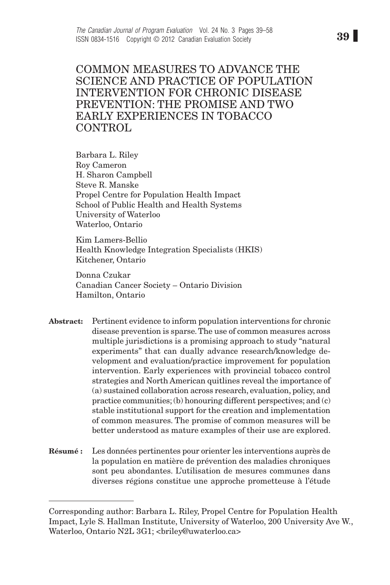Common measures to advance the science and practice of population intervention for chronic disease prevention: The promise and two early experiences in tobacco CONTROL

Barbara L. Riley Roy Cameron H. Sharon Campbell Steve R. Manske Propel Centre for Population Health Impact School of Public Health and Health Systems University of Waterloo Waterloo, Ontario

Kim Lamers-Bellio Health Knowledge Integration Specialists (HKIS) Kitchener, Ontario

Donna Czukar Canadian Cancer Society – Ontario Division Hamilton, Ontario

- Abstract: Pertinent evidence to inform population interventions for chronic disease prevention is sparse. The use of common measures across multiple jurisdictions is a promising approach to study "natural experiments" that can dually advance research/knowledge development and evaluation/practice improvement for population intervention. Early experiences with provincial tobacco control strategies and North American quitlines reveal the importance of (a) sustained collaboration across research, evaluation, policy, and practice communities; (b) honouring different perspectives; and (c) stable institutional support for the creation and implementation of common measures. The promise of common measures will be better understood as mature examples of their use are explored.
- Résumé : Les données pertinentes pour orienter les interventions auprès de la population en matière de prévention des maladies chroniques sont peu abondantes. L'utilisation de mesures communes dans diverses régions constitue une approche prometteuse à l'étude

Corresponding author: Barbara L. Riley, Propel Centre for Population Health Impact, Lyle S. Hallman Institute, University of Waterloo, 200 University Ave W., Waterloo, Ontario N2L 3G1; <briley@uwaterloo.ca>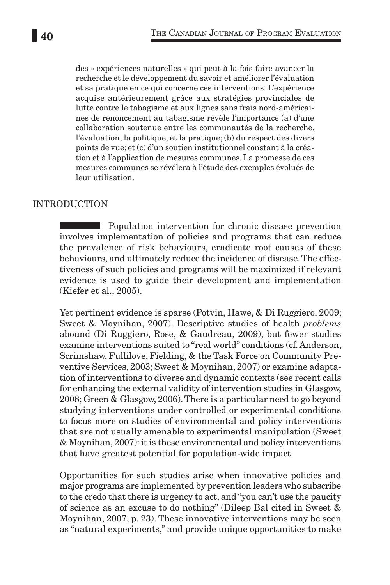des « expériences naturelles » qui peut à la fois faire avancer la recherche et le développement du savoir et améliorer l'évaluation et sa pratique en ce qui concerne ces interventions. L'expérience acquise antérieurement grâce aux stratégies provinciales de lutte contre le tabagisme et aux lignes sans frais nord-américaines de renoncement au tabagisme révèle l'importance (a) d'une collaboration soutenue entre les communautés de la recherche, l'évaluation, la politique, et la pratique; (b) du respect des divers points de vue; et (c) d'un soutien institutionnel constant à la création et à l'application de mesures communes. La promesse de ces mesures communes se révélera à l'étude des exemples évolués de leur utilisation.

### Introduction

**Population intervention for chronic disease prevention** involves implementation of policies and programs that can reduce the prevalence of risk behaviours, eradicate root causes of these behaviours, and ultimately reduce the incidence of disease. The effectiveness of such policies and programs will be maximized if relevant evidence is used to guide their development and implementation (Kiefer et al., 2005).

Yet pertinent evidence is sparse (Potvin, Hawe, & Di Ruggiero, 2009; Sweet & Moynihan, 2007). Descriptive studies of health *problems* abound (Di Ruggiero, Rose, & Gaudreau, 2009), but fewer studies examine interventions suited to "real world" conditions (cf. Anderson, Scrimshaw, Fullilove, Fielding, & the Task Force on Community Preventive Services, 2003; Sweet & Moynihan, 2007) or examine adaptation of interventions to diverse and dynamic contexts (see recent calls for enhancing the external validity of intervention studies in Glasgow, 2008; Green & Glasgow, 2006). There is a particular need to go beyond studying interventions under controlled or experimental conditions to focus more on studies of environmental and policy interventions that are not usually amenable to experimental manipulation (Sweet & Moynihan, 2007): it is these environmental and policy interventions that have greatest potential for population-wide impact.

Opportunities for such studies arise when innovative policies and major programs are implemented by prevention leaders who subscribe to the credo that there is urgency to act, and "you can't use the paucity of science as an excuse to do nothing" (Dileep Bal cited in Sweet & Moynihan, 2007, p. 23). These innovative interventions may be seen as "natural experiments," and provide unique opportunities to make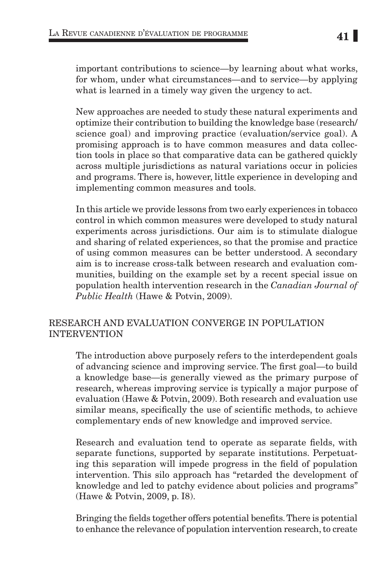important contributions to science—by learning about what works, for whom, under what circumstances—and to service—by applying what is learned in a timely way given the urgency to act.

New approaches are needed to study these natural experiments and optimize their contribution to building the knowledge base (research/ science goal) and improving practice (evaluation/service goal). A promising approach is to have common measures and data collection tools in place so that comparative data can be gathered quickly across multiple jurisdictions as natural variations occur in policies and programs. There is, however, little experience in developing and implementing common measures and tools.

In this article we provide lessons from two early experiences in tobacco control in which common measures were developed to study natural experiments across jurisdictions. Our aim is to stimulate dialogue and sharing of related experiences, so that the promise and practice of using common measures can be better understood. A secondary aim is to increase cross-talk between research and evaluation communities, building on the example set by a recent special issue on population health intervention research in the *Canadian Journal of Public Health* (Hawe & Potvin, 2009).

## Research and evaluation converge in population **INTERVENTION**

The introduction above purposely refers to the interdependent goals of advancing science and improving service. The first goal—to build a knowledge base—is generally viewed as the primary purpose of research, whereas improving service is typically a major purpose of evaluation (Hawe & Potvin, 2009). Both research and evaluation use similar means, specifically the use of scientific methods, to achieve complementary ends of new knowledge and improved service.

Research and evaluation tend to operate as separate fields, with separate functions, supported by separate institutions. Perpetuating this separation will impede progress in the field of population intervention. This silo approach has "retarded the development of knowledge and led to patchy evidence about policies and programs" (Hawe & Potvin, 2009, p. I8).

Bringing the fields together offers potential benefits. There is potential to enhance the relevance of population intervention research, to create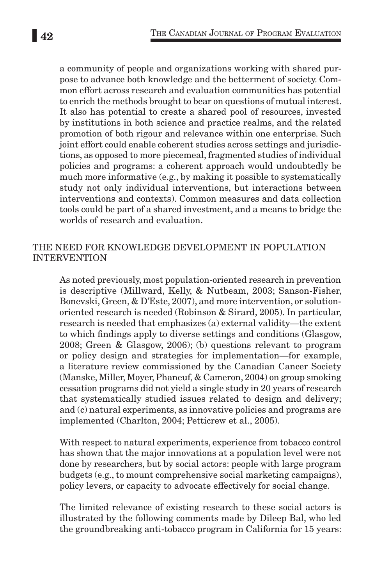a community of people and organizations working with shared purpose to advance both knowledge and the betterment of society. Common effort across research and evaluation communities has potential to enrich the methods brought to bear on questions of mutual interest. It also has potential to create a shared pool of resources, invested by institutions in both science and practice realms, and the related promotion of both rigour and relevance within one enterprise. Such joint effort could enable coherent studies across settings and jurisdictions, as opposed to more piecemeal, fragmented studies of individual policies and programs: a coherent approach would undoubtedly be much more informative (e.g., by making it possible to systematically study not only individual interventions, but interactions between interventions and contexts). Common measures and data collection tools could be part of a shared investment, and a means to bridge the worlds of research and evaluation.

### The need for knowledge development in population **INTERVENTION**

As noted previously, most population-oriented research in prevention is descriptive (Millward, Kelly, & Nutbeam, 2003; Sanson-Fisher, Bonevski, Green, & D'Este, 2007), and more intervention, or solutionoriented research is needed (Robinson & Sirard, 2005). In particular, research is needed that emphasizes (a) external validity—the extent to which findings apply to diverse settings and conditions (Glasgow, 2008; Green & Glasgow, 2006); (b) questions relevant to program or policy design and strategies for implementation—for example, a literature review commissioned by the Canadian Cancer Society (Manske, Miller, Moyer, Phaneuf, & Cameron, 2004) on group smoking cessation programs did not yield a single study in 20 years of research that systematically studied issues related to design and delivery; and (c) natural experiments, as innovative policies and programs are implemented (Charlton, 2004; Petticrew et al., 2005).

With respect to natural experiments, experience from tobacco control has shown that the major innovations at a population level were not done by researchers, but by social actors: people with large program budgets (e.g., to mount comprehensive social marketing campaigns), policy levers, or capacity to advocate effectively for social change.

The limited relevance of existing research to these social actors is illustrated by the following comments made by Dileep Bal, who led the groundbreaking anti-tobacco program in California for 15 years: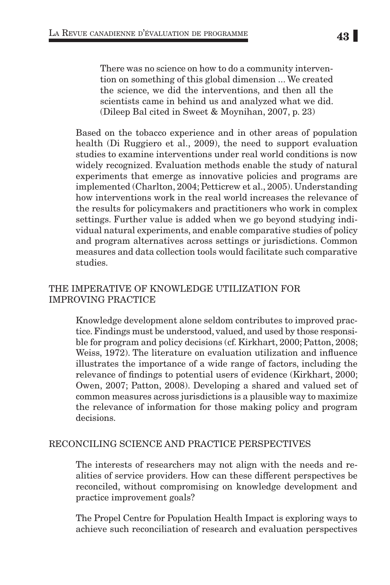There was no science on how to do a community intervention on something of this global dimension ... We created the science, we did the interventions, and then all the scientists came in behind us and analyzed what we did. (Dileep Bal cited in Sweet & Moynihan, 2007, p. 23)

Based on the tobacco experience and in other areas of population health (Di Ruggiero et al., 2009), the need to support evaluation studies to examine interventions under real world conditions is now widely recognized. Evaluation methods enable the study of natural experiments that emerge as innovative policies and programs are implemented (Charlton, 2004; Petticrew et al., 2005). Understanding how interventions work in the real world increases the relevance of the results for policymakers and practitioners who work in complex settings. Further value is added when we go beyond studying individual natural experiments, and enable comparative studies of policy and program alternatives across settings or jurisdictions. Common measures and data collection tools would facilitate such comparative studies.

## The imperative of knowledge utilization for improving practice

Knowledge development alone seldom contributes to improved practice. Findings must be understood, valued, and used by those responsible for program and policy decisions (cf. Kirkhart, 2000; Patton, 2008; Weiss, 1972). The literature on evaluation utilization and influence illustrates the importance of a wide range of factors, including the relevance of findings to potential users of evidence (Kirkhart, 2000; Owen, 2007; Patton, 2008). Developing a shared and valued set of common measures across jurisdictions is a plausible way to maximize the relevance of information for those making policy and program decisions.

## Reconciling science and practice perspectives

The interests of researchers may not align with the needs and realities of service providers. How can these different perspectives be reconciled, without compromising on knowledge development and practice improvement goals?

The Propel Centre for Population Health Impact is exploring ways to achieve such reconciliation of research and evaluation perspectives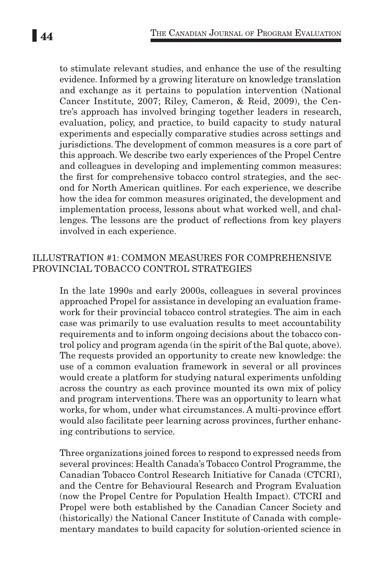to stimulate relevant studies, and enhance the use of the resulting evidence. Informed by a growing literature on knowledge translation and exchange as it pertains to population intervention (National Cancer Institute, 2007; Riley, Cameron, & Reid, 2009), the Centre's approach has involved bringing together leaders in research, evaluation, policy, and practice, to build capacity to study natural experiments and especially comparative studies across settings and jurisdictions. The development of common measures is a core part of this approach. We describe two early experiences of the Propel Centre and colleagues in developing and implementing common measures: the first for comprehensive tobacco control strategies, and the second for North American quitlines. For each experience, we describe how the idea for common measures originated, the development and implementation process, lessons about what worked well, and challenges. The lessons are the product of reflections from key players involved in each experience.

### Illustration #1: Common Measures for Comprehensive Provincial Tobacco Control Strategies

In the late 1990s and early 2000s, colleagues in several provinces approached Propel for assistance in developing an evaluation framework for their provincial tobacco control strategies. The aim in each case was primarily to use evaluation results to meet accountability requirements and to inform ongoing decisions about the tobacco control policy and program agenda (in the spirit of the Bal quote, above). The requests provided an opportunity to create new knowledge: the use of a common evaluation framework in several or all provinces would create a platform for studying natural experiments unfolding across the country as each province mounted its own mix of policy and program interventions. There was an opportunity to learn what works, for whom, under what circumstances. A multi-province effort would also facilitate peer learning across provinces, further enhancing contributions to service.

Three organizations joined forces to respond to expressed needs from several provinces: Health Canada's Tobacco Control Programme, the Canadian Tobacco Control Research Initiative for Canada (CTCRI), and the Centre for Behavioural Research and Program Evaluation (now the Propel Centre for Population Health Impact). CTCRI and Propel were both established by the Canadian Cancer Society and (historically) the National Cancer Institute of Canada with complementary mandates to build capacity for solution-oriented science in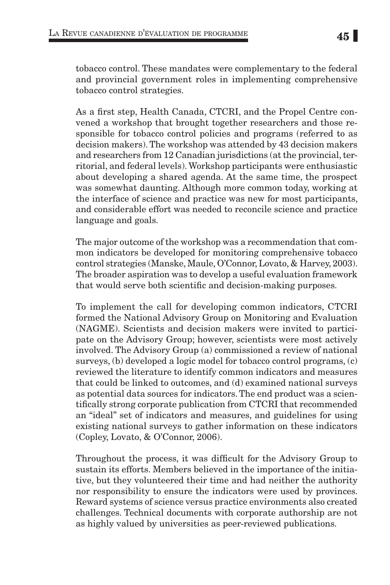As a first step, Health Canada, CTCRI, and the Propel Centre convened a workshop that brought together researchers and those responsible for tobacco control policies and programs (referred to as decision makers). The workshop was attended by 43 decision makers and researchers from 12 Canadian jurisdictions (at the provincial, territorial, and federal levels). Workshop participants were enthusiastic about developing a shared agenda. At the same time, the prospect was somewhat daunting. Although more common today, working at the interface of science and practice was new for most participants, and considerable effort was needed to reconcile science and practice language and goals.

The major outcome of the workshop was a recommendation that common indicators be developed for monitoring comprehensive tobacco control strategies (Manske, Maule, O'Connor, Lovato, & Harvey, 2003). The broader aspiration was to develop a useful evaluation framework that would serve both scientific and decision-making purposes.

To implement the call for developing common indicators, CTCRI formed the National Advisory Group on Monitoring and Evaluation (NAGME). Scientists and decision makers were invited to participate on the Advisory Group; however, scientists were most actively involved. The Advisory Group (a) commissioned a review of national surveys, (b) developed a logic model for tobacco control programs, (c) reviewed the literature to identify common indicators and measures that could be linked to outcomes, and (d) examined national surveys as potential data sources for indicators. The end product was a scientifically strong corporate publication from CTCRI that recommended an "ideal" set of indicators and measures, and guidelines for using existing national surveys to gather information on these indicators (Copley, Lovato, & O'Connor, 2006).

Throughout the process, it was difficult for the Advisory Group to sustain its efforts. Members believed in the importance of the initiative, but they volunteered their time and had neither the authority nor responsibility to ensure the indicators were used by provinces. Reward systems of science versus practice environments also created challenges. Technical documents with corporate authorship are not as highly valued by universities as peer-reviewed publications.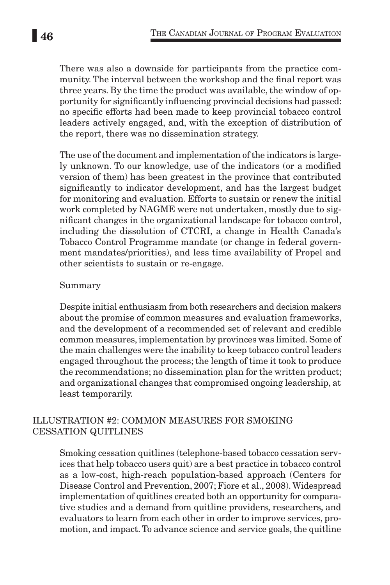There was also a downside for participants from the practice community. The interval between the workshop and the final report was three years. By the time the product was available, the window of opportunity for significantly influencing provincial decisions had passed: no specific efforts had been made to keep provincial tobacco control leaders actively engaged, and, with the exception of distribution of the report, there was no dissemination strategy.

The use of the document and implementation of the indicators is largely unknown. To our knowledge, use of the indicators (or a modified version of them) has been greatest in the province that contributed significantly to indicator development, and has the largest budget for monitoring and evaluation. Efforts to sustain or renew the initial work completed by NAGME were not undertaken, mostly due to significant changes in the organizational landscape for tobacco control, including the dissolution of CTCRI, a change in Health Canada's Tobacco Control Programme mandate (or change in federal government mandates/priorities), and less time availability of Propel and other scientists to sustain or re-engage.

#### Summary

Despite initial enthusiasm from both researchers and decision makers about the promise of common measures and evaluation frameworks, and the development of a recommended set of relevant and credible common measures, implementation by provinces was limited. Some of the main challenges were the inability to keep tobacco control leaders engaged throughout the process; the length of time it took to produce the recommendations; no dissemination plan for the written product; and organizational changes that compromised ongoing leadership, at least temporarily.

## Illustration #2: Common Measures for Smoking Cessation Quitlines

Smoking cessation quitlines (telephone-based tobacco cessation services that help tobacco users quit) are a best practice in tobacco control as a low-cost, high-reach population-based approach (Centers for Disease Control and Prevention, 2007; Fiore et al., 2008). Widespread implementation of quitlines created both an opportunity for comparative studies and a demand from quitline providers, researchers, and evaluators to learn from each other in order to improve services, promotion, and impact. To advance science and service goals, the quitline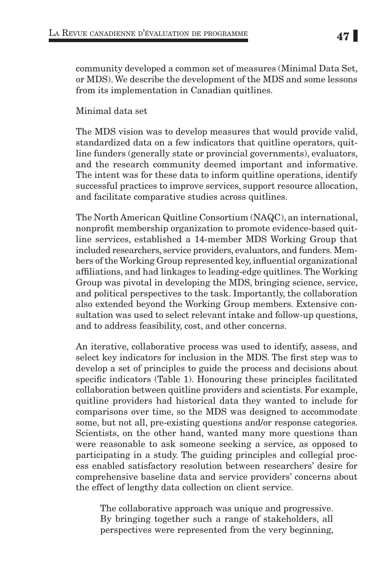community developed a common set of measures (Minimal Data Set, or MDS). We describe the development of the MDS and some lessons from its implementation in Canadian quitlines.

Minimal data set

The MDS vision was to develop measures that would provide valid, standardized data on a few indicators that quitline operators, quitline funders (generally state or provincial governments), evaluators, and the research community deemed important and informative. The intent was for these data to inform quitline operations, identify successful practices to improve services, support resource allocation, and facilitate comparative studies across quitlines.

The North American Quitline Consortium (NAQC), an international, nonprofit membership organization to promote evidence-based quitline services, established a 14-member MDS Working Group that included researchers, service providers, evaluators, and funders. Members of the Working Group represented key, influential organizational affiliations, and had linkages to leading-edge quitlines. The Working Group was pivotal in developing the MDS, bringing science, service, and political perspectives to the task. Importantly, the collaboration also extended beyond the Working Group members. Extensive consultation was used to select relevant intake and follow-up questions, and to address feasibility, cost, and other concerns.

An iterative, collaborative process was used to identify, assess, and select key indicators for inclusion in the MDS. The first step was to develop a set of principles to guide the process and decisions about specific indicators (Table 1). Honouring these principles facilitated collaboration between quitline providers and scientists. For example, quitline providers had historical data they wanted to include for comparisons over time, so the MDS was designed to accommodate some, but not all, pre-existing questions and/or response categories. Scientists, on the other hand, wanted many more questions than were reasonable to ask someone seeking a service, as opposed to participating in a study. The guiding principles and collegial process enabled satisfactory resolution between researchers' desire for comprehensive baseline data and service providers' concerns about the effect of lengthy data collection on client service.

The collaborative approach was unique and progressive. By bringing together such a range of stakeholders, all perspectives were represented from the very beginning,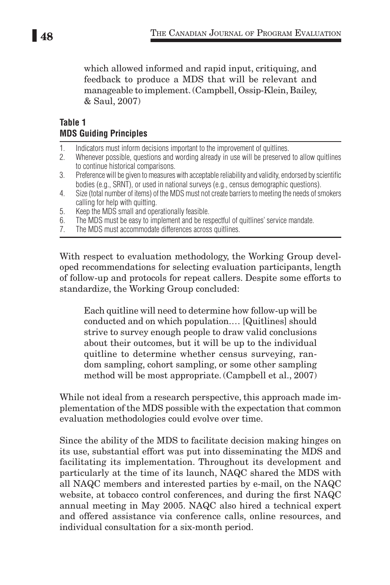which allowed informed and rapid input, critiquing, and feedback to produce a MDS that will be relevant and manageable to implement. (Campbell, Ossip-Klein, Bailey, & Saul, 2007)

# **Table 1 MDS Guiding Principles**

- 1. Indicators must inform decisions important to the improvement of quitlines.<br>2. Whenever possible, questions and wording already in use will be preserved
- 2. Whenever possible, questions and wording already in use will be preserved to allow quitlines to continue historical comparisons.
- 3. Preference will be given to measures with acceptable reliability and validity, endorsed by scientific bodies (e.g., SRNT), or used in national surveys (e.g., census demographic questions).
- 4. Size (total number of items) of the MDS must not create barriers to meeting the needs of smokers calling for help with quitting.
- 5. Keep the MDS small and operationally feasible.
- 6. The MDS must be easy to implement and be respectful of quitlines' service mandate.
- 7. The MDS must accommodate differences across quitlines.

With respect to evaluation methodology, the Working Group developed recommendations for selecting evaluation participants, length of follow-up and protocols for repeat callers. Despite some efforts to standardize, the Working Group concluded:

Each quitline will need to determine how follow-up will be conducted and on which population.… [Quitlines] should strive to survey enough people to draw valid conclusions about their outcomes, but it will be up to the individual quitline to determine whether census surveying, random sampling, cohort sampling, or some other sampling method will be most appropriate. (Campbell et al., 2007)

While not ideal from a research perspective, this approach made implementation of the MDS possible with the expectation that common evaluation methodologies could evolve over time.

Since the ability of the MDS to facilitate decision making hinges on its use, substantial effort was put into disseminating the MDS and facilitating its implementation. Throughout its development and particularly at the time of its launch, NAQC shared the MDS with all NAQC members and interested parties by e-mail, on the NAQC website, at tobacco control conferences, and during the first NAQC annual meeting in May 2005. NAQC also hired a technical expert and offered assistance via conference calls, online resources, and individual consultation for a six-month period.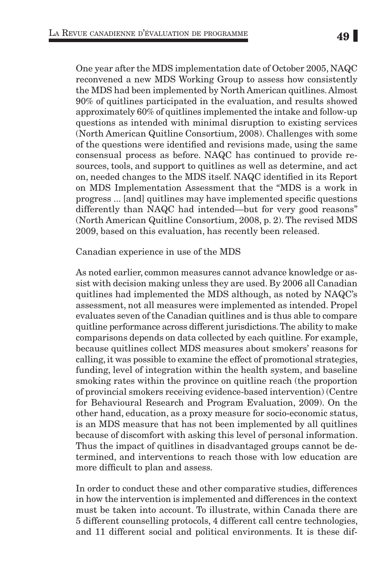One year after the MDS implementation date of October 2005, NAQC reconvened a new MDS Working Group to assess how consistently the MDS had been implemented by North American quitlines. Almost 90% of quitlines participated in the evaluation, and results showed approximately 60% of quitlines implemented the intake and follow-up questions as intended with minimal disruption to existing services (North American Quitline Consortium, 2008). Challenges with some of the questions were identified and revisions made, using the same consensual process as before. NAQC has continued to provide resources, tools, and support to quitlines as well as determine, and act on, needed changes to the MDS itself. NAQC identified in its Report on MDS Implementation Assessment that the "MDS is a work in progress ... [and] quitlines may have implemented specific questions differently than NAQC had intended—but for very good reasons" (North American Quitline Consortium, 2008, p. 2). The revised MDS 2009, based on this evaluation, has recently been released.

Canadian experience in use of the MDS

As noted earlier, common measures cannot advance knowledge or assist with decision making unless they are used. By 2006 all Canadian quitlines had implemented the MDS although, as noted by NAQC's assessment, not all measures were implemented as intended. Propel evaluates seven of the Canadian quitlines and is thus able to compare quitline performance across different jurisdictions. The ability to make comparisons depends on data collected by each quitline. For example, because quitlines collect MDS measures about smokers' reasons for calling, it was possible to examine the effect of promotional strategies, funding, level of integration within the health system, and baseline smoking rates within the province on quitline reach (the proportion of provincial smokers receiving evidence-based intervention) (Centre for Behavioural Research and Program Evaluation, 2009). On the other hand, education, as a proxy measure for socio-economic status, is an MDS measure that has not been implemented by all quitlines because of discomfort with asking this level of personal information. Thus the impact of quitlines in disadvantaged groups cannot be determined, and interventions to reach those with low education are more difficult to plan and assess.

In order to conduct these and other comparative studies, differences in how the intervention is implemented and differences in the context must be taken into account. To illustrate, within Canada there are 5 different counselling protocols, 4 different call centre technologies, and 11 different social and political environments. It is these dif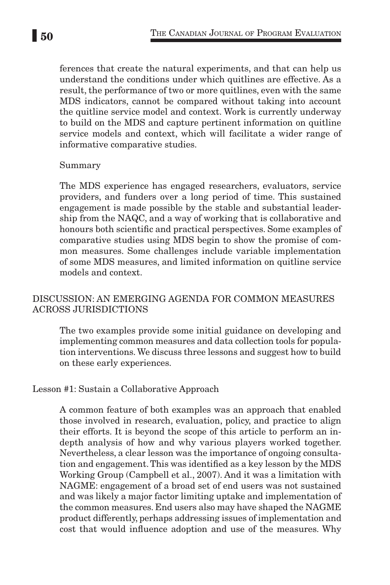ferences that create the natural experiments, and that can help us understand the conditions under which quitlines are effective. As a result, the performance of two or more quitlines, even with the same MDS indicators, cannot be compared without taking into account the quitline service model and context. Work is currently underway to build on the MDS and capture pertinent information on quitline service models and context, which will facilitate a wider range of informative comparative studies.

#### Summary

The MDS experience has engaged researchers, evaluators, service providers, and funders over a long period of time. This sustained engagement is made possible by the stable and substantial leadership from the NAQC, and a way of working that is collaborative and honours both scientific and practical perspectives. Some examples of comparative studies using MDS begin to show the promise of common measures. Some challenges include variable implementation of some MDS measures, and limited information on quitline service models and context.

# Discussion: An emerging agenda for common measures across jurisdictions

The two examples provide some initial guidance on developing and implementing common measures and data collection tools for population interventions. We discuss three lessons and suggest how to build on these early experiences.

## Lesson #1: Sustain a Collaborative Approach

A common feature of both examples was an approach that enabled those involved in research, evaluation, policy, and practice to align their efforts. It is beyond the scope of this article to perform an indepth analysis of how and why various players worked together. Nevertheless, a clear lesson was the importance of ongoing consultation and engagement. This was identified as a key lesson by the MDS Working Group (Campbell et al., 2007). And it was a limitation with NAGME: engagement of a broad set of end users was not sustained and was likely a major factor limiting uptake and implementation of the common measures. End users also may have shaped the NAGME product differently, perhaps addressing issues of implementation and cost that would influence adoption and use of the measures. Why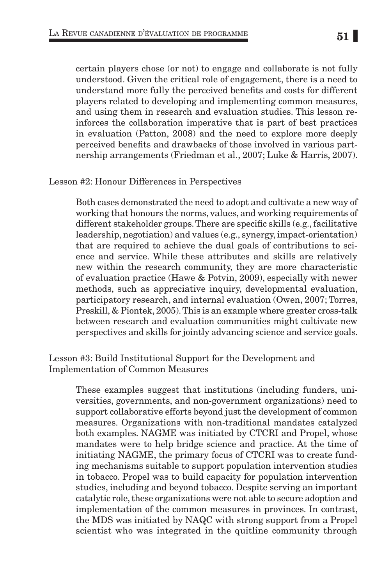certain players chose (or not) to engage and collaborate is not fully understood. Given the critical role of engagement, there is a need to understand more fully the perceived benefits and costs for different players related to developing and implementing common measures, and using them in research and evaluation studies. This lesson reinforces the collaboration imperative that is part of best practices in evaluation (Patton, 2008) and the need to explore more deeply perceived benefits and drawbacks of those involved in various partnership arrangements (Friedman et al., 2007; Luke & Harris, 2007).

#### Lesson #2: Honour Differences in Perspectives

Both cases demonstrated the need to adopt and cultivate a new way of working that honours the norms, values, and working requirements of different stakeholder groups. There are specific skills (e.g., facilitative leadership, negotiation) and values (e.g., synergy, impact-orientation) that are required to achieve the dual goals of contributions to science and service. While these attributes and skills are relatively new within the research community, they are more characteristic of evaluation practice (Hawe & Potvin, 2009), especially with newer methods, such as appreciative inquiry, developmental evaluation, participatory research, and internal evaluation (Owen, 2007; Torres, Preskill, & Piontek, 2005). This is an example where greater cross-talk between research and evaluation communities might cultivate new perspectives and skills for jointly advancing science and service goals.

### Lesson #3: Build Institutional Support for the Development and Implementation of Common Measures

These examples suggest that institutions (including funders, universities, governments, and non-government organizations) need to support collaborative efforts beyond just the development of common measures. Organizations with non-traditional mandates catalyzed both examples. NAGME was initiated by CTCRI and Propel, whose mandates were to help bridge science and practice. At the time of initiating NAGME, the primary focus of CTCRI was to create funding mechanisms suitable to support population intervention studies in tobacco. Propel was to build capacity for population intervention studies, including and beyond tobacco. Despite serving an important catalytic role, these organizations were not able to secure adoption and implementation of the common measures in provinces. In contrast, the MDS was initiated by NAQC with strong support from a Propel scientist who was integrated in the quitline community through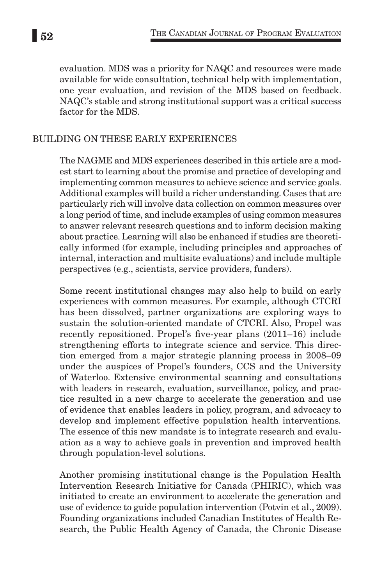evaluation. MDS was a priority for NAQC and resources were made available for wide consultation, technical help with implementation, one year evaluation, and revision of the MDS based on feedback. NAQC's stable and strong institutional support was a critical success factor for the MDS.

## Building on these early experiences

The NAGME and MDS experiences described in this article are a modest start to learning about the promise and practice of developing and implementing common measures to achieve science and service goals. Additional examples will build a richer understanding. Cases that are particularly rich will involve data collection on common measures over a long period of time, and include examples of using common measures to answer relevant research questions and to inform decision making about practice. Learning will also be enhanced if studies are theoretically informed (for example, including principles and approaches of internal, interaction and multisite evaluations) and include multiple perspectives (e.g., scientists, service providers, funders).

Some recent institutional changes may also help to build on early experiences with common measures. For example, although CTCRI has been dissolved, partner organizations are exploring ways to sustain the solution-oriented mandate of CTCRI. Also, Propel was recently repositioned. Propel's five-year plans (2011–16) include strengthening efforts to integrate science and service. This direction emerged from a major strategic planning process in 2008–09 under the auspices of Propel's founders, CCS and the University of Waterloo. Extensive environmental scanning and consultations with leaders in research, evaluation, surveillance, policy, and practice resulted in a new charge to accelerate the generation and use of evidence that enables leaders in policy, program, and advocacy to develop and implement effective population health interventions*.* The essence of this new mandate is to integrate research and evaluation as a way to achieve goals in prevention and improved health through population-level solutions.

Another promising institutional change is the Population Health Intervention Research Initiative for Canada (PHIRIC), which was initiated to create an environment to accelerate the generation and use of evidence to guide population intervention (Potvin et al., 2009). Founding organizations included Canadian Institutes of Health Research, the Public Health Agency of Canada, the Chronic Disease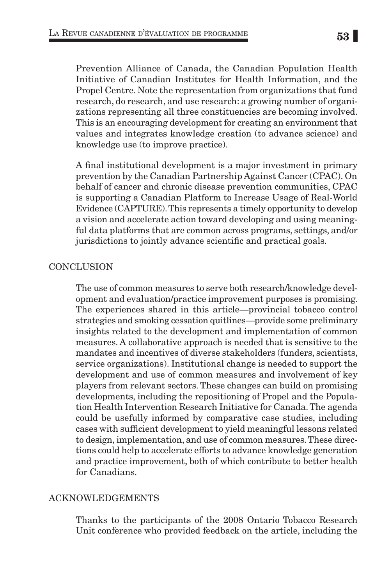Prevention Alliance of Canada, the Canadian Population Health Initiative of Canadian Institutes for Health Information, and the Propel Centre. Note the representation from organizations that fund research, do research, and use research: a growing number of organizations representing all three constituencies are becoming involved. This is an encouraging development for creating an environment that values and integrates knowledge creation (to advance science) and knowledge use (to improve practice).

A final institutional development is a major investment in primary prevention by the Canadian Partnership Against Cancer (CPAC). On behalf of cancer and chronic disease prevention communities, CPAC is supporting a Canadian Platform to Increase Usage of Real-World Evidence (CAPTURE). This represents a timely opportunity to develop a vision and accelerate action toward developing and using meaningful data platforms that are common across programs, settings, and/or jurisdictions to jointly advance scientific and practical goals.

## **CONCLUSION**

The use of common measures to serve both research/knowledge development and evaluation/practice improvement purposes is promising. The experiences shared in this article—provincial tobacco control strategies and smoking cessation quitlines—provide some preliminary insights related to the development and implementation of common measures. A collaborative approach is needed that is sensitive to the mandates and incentives of diverse stakeholders (funders, scientists, service organizations). Institutional change is needed to support the development and use of common measures and involvement of key players from relevant sectors. These changes can build on promising developments, including the repositioning of Propel and the Population Health Intervention Research Initiative for Canada. The agenda could be usefully informed by comparative case studies, including cases with sufficient development to yield meaningful lessons related to design, implementation, and use of common measures. These directions could help to accelerate efforts to advance knowledge generation and practice improvement, both of which contribute to better health for Canadians.

## Acknowledgements

Thanks to the participants of the 2008 Ontario Tobacco Research Unit conference who provided feedback on the article, including the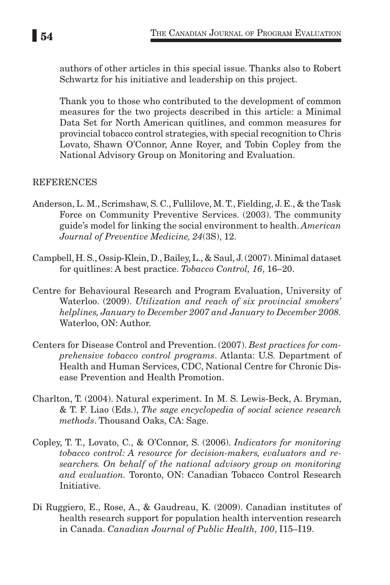authors of other articles in this special issue. Thanks also to Robert Schwartz for his initiative and leadership on this project.

Thank you to those who contributed to the development of common measures for the two projects described in this article: a Minimal Data Set for North American quitlines, and common measures for provincial tobacco control strategies, with special recognition to Chris Lovato, Shawn O'Connor, Anne Royer, and Tobin Copley from the National Advisory Group on Monitoring and Evaluation.

# **REFERENCES**

- Anderson, L. M., Scrimshaw, S. C., Fullilove, M. T., Fielding, J. E., & the Task Force on Community Preventive Services. (2003). The community guide's model for linking the social environment to health. *American Journal of Preventive Medicine, 24*(3S), 12.
- Campbell, H. S., Ossip-Klein, D., Bailey, L., & Saul, J. (2007). Minimal dataset for quitlines: A best practice. *Tobacco Control, 16*, 16–20.
- Centre for Behavioural Research and Program Evaluation, University of Waterloo. (2009). *Utilization and reach of six provincial smokers' helplines, January to December 2007 and January to December 2008.* Waterloo, ON: Author.
- Centers for Disease Control and Prevention. (2007). *Best practices for comprehensive tobacco control programs*. Atlanta: U.S. Department of Health and Human Services, CDC, National Centre for Chronic Disease Prevention and Health Promotion.
- Charlton, T. (2004). Natural experiment. In M. S. Lewis-Beck, A. Bryman, & T. F. Liao (Eds.), *The sage encyclopedia of social science research methods*. Thousand Oaks, CA: Sage.
- Copley, T. T., Lovato, C., & O'Connor, S. (2006). *Indicators for monitoring tobacco control: A resource for decision-makers, evaluators and researchers. On behalf of the national advisory group on monitoring and evaluation.* Toronto, ON: Canadian Tobacco Control Research Initiative.
- Di Ruggiero, E., Rose, A., & Gaudreau, K. (2009). Canadian institutes of health research support for population health intervention research in Canada. *Canadian Journal of Public Health, 100*, I15–I19.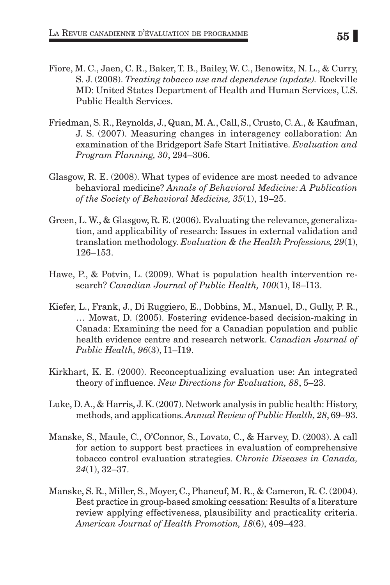- Fiore, M. C., Jaen, C. R., Baker, T. B., Bailey, W. C., Benowitz, N. L., & Curry, S. J. (2008). *Treating tobacco use and dependence (update).* Rockville MD: United States Department of Health and Human Services, U.S. Public Health Services.
- Friedman, S. R., Reynolds, J., Quan, M. A., Call, S., Crusto, C. A., & Kaufman, J. S. (2007). Measuring changes in interagency collaboration: An examination of the Bridgeport Safe Start Initiative. *Evaluation and Program Planning, 30*, 294–306.
- Glasgow, R. E. (2008). What types of evidence are most needed to advance behavioral medicine? *Annals of Behavioral Medicine: A Publication of the Society of Behavioral Medicine, 35*(1), 19–25.
- Green, L. W., & Glasgow, R. E. (2006). Evaluating the relevance, generalization, and applicability of research: Issues in external validation and translation methodology. *Evaluation & the Health Professions, 29*(1), 126–153.
- Hawe, P., & Potvin, L. (2009). What is population health intervention research? *Canadian Journal of Public Health, 100*(1), I8–I13.
- Kiefer, L., Frank, J., Di Ruggiero, E., Dobbins, M., Manuel, D., Gully, P. R., … Mowat, D. (2005). Fostering evidence-based decision-making in Canada: Examining the need for a Canadian population and public health evidence centre and research network. *Canadian Journal of Public Health, 96*(3), I1–I19.
- Kirkhart, K. E. (2000). Reconceptualizing evaluation use: An integrated theory of influence. *New Directions for Evaluation, 88*, 5–23.
- Luke, D. A., & Harris, J. K. (2007). Network analysis in public health: History, methods, and applications. *Annual Review of Public Health, 28*, 69–93.
- Manske, S., Maule, C., O'Connor, S., Lovato, C., & Harvey, D. (2003). A call for action to support best practices in evaluation of comprehensive tobacco control evaluation strategies. *Chronic Diseases in Canada, 24*(1), 32–37.
- Manske, S. R., Miller, S., Moyer, C., Phaneuf, M. R., & Cameron, R. C. (2004). Best practice in group-based smoking cessation: Results of a literature review applying effectiveness, plausibility and practicality criteria. *American Journal of Health Promotion, 18*(6), 409–423.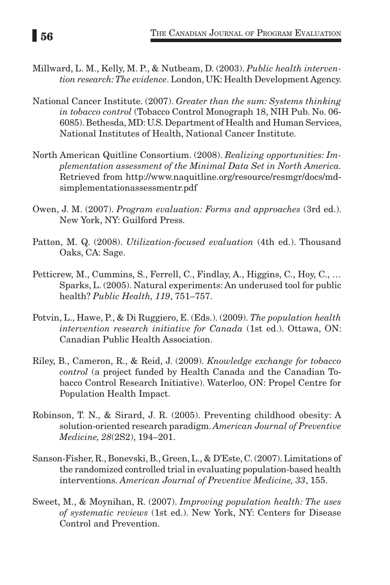- Millward, L. M., Kelly, M. P., & Nutbeam, D. (2003). *Public health intervention research: The evidence*. London, UK: Health Development Agency.
- National Cancer Institute. (2007). *Greater than the sum: Systems thinking in tobacco control* (Tobacco Control Monograph 18, NIH Pub. No. 06- 6085). Bethesda, MD: U.S. Department of Health and Human Services, National Institutes of Health, National Cancer Institute.
- North American Quitline Consortium. (2008). *Realizing opportunities: Implementation assessment of the Minimal Data Set in North America.*  Retrieved from http://www.naquitline.org/resource/resmgr/docs/mdsimplementationassessmentr.pdf
- Owen, J. M. (2007). *Program evaluation: Forms and approaches* (3rd ed.). New York, NY: Guilford Press.
- Patton, M. Q. (2008). *Utilization-focused evaluation* (4th ed.). Thousand Oaks, CA: Sage.
- Petticrew, M., Cummins, S., Ferrell, C., Findlay, A., Higgins, C., Hoy, C., … Sparks, L. (2005). Natural experiments: An underused tool for public health? *Public Health, 119*, 751–757.
- Potvin, L., Hawe, P., & Di Ruggiero, E. (Eds.). (2009). *The population health intervention research initiative for Canada* (1st ed.). Ottawa, ON: Canadian Public Health Association.
- Riley, B., Cameron, R., & Reid, J. (2009). *Knowledge exchange for tobacco control* (a project funded by Health Canada and the Canadian Tobacco Control Research Initiative). Waterloo, ON: Propel Centre for Population Health Impact.
- Robinson, T. N., & Sirard, J. R. (2005). Preventing childhood obesity: A solution-oriented research paradigm. *American Journal of Preventive Medicine, 28*(2S2), 194–201.
- Sanson-Fisher, R., Bonevski, B., Green, L., & D'Este, C. (2007). Limitations of the randomized controlled trial in evaluating population-based health interventions. *American Journal of Preventive Medicine, 33*, 155.
- Sweet, M., & Moynihan, R. (2007). *Improving population health: The uses of systematic reviews* (1st ed.). New York, NY: Centers for Disease Control and Prevention.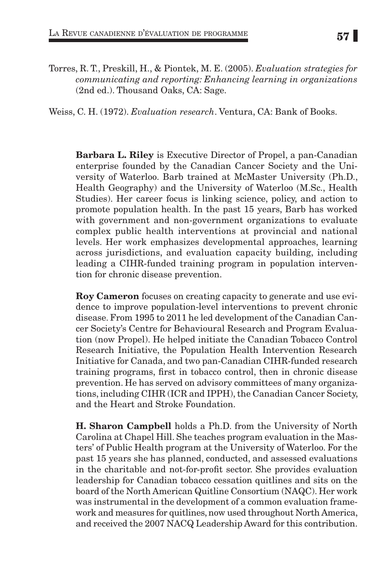Torres, R. T., Preskill, H., & Piontek, M. E. (2005). *Evaluation strategies for communicating and reporting: Enhancing learning in organizations*  (2nd ed.). Thousand Oaks, CA: Sage.

Weiss, C. H. (1972). *Evaluation research*. Ventura, CA: Bank of Books.

Barbara L. Riley is Executive Director of Propel, a pan-Canadian enterprise founded by the Canadian Cancer Society and the University of Waterloo. Barb trained at McMaster University (Ph.D., Health Geography) and the University of Waterloo (M.Sc., Health Studies). Her career focus is linking science, policy, and action to promote population health. In the past 15 years, Barb has worked with government and non-government organizations to evaluate complex public health interventions at provincial and national levels. Her work emphasizes developmental approaches, learning across jurisdictions, and evaluation capacity building, including leading a CIHR-funded training program in population intervention for chronic disease prevention.

Roy Cameron focuses on creating capacity to generate and use evidence to improve population-level interventions to prevent chronic disease. From 1995 to 2011 he led development of the Canadian Cancer Society's Centre for Behavioural Research and Program Evaluation (now Propel). He helped initiate the Canadian Tobacco Control Research Initiative, the Population Health Intervention Research Initiative for Canada, and two pan-Canadian CIHR-funded research training programs, first in tobacco control, then in chronic disease prevention. He has served on advisory committees of many organizations, including CIHR (ICR and IPPH), the Canadian Cancer Society, and the Heart and Stroke Foundation.

H. Sharon Campbell holds a Ph.D. from the University of North Carolina at Chapel Hill. She teaches program evaluation in the Masters' of Public Health program at the University of Waterloo. For the past 15 years she has planned, conducted, and assessed evaluations in the charitable and not-for-profit sector. She provides evaluation leadership for Canadian tobacco cessation quitlines and sits on the board of the North American Quitline Consortium (NAQC). Her work was instrumental in the development of a common evaluation framework and measures for quitlines, now used throughout North America, and received the 2007 NACQ Leadership Award for this contribution.